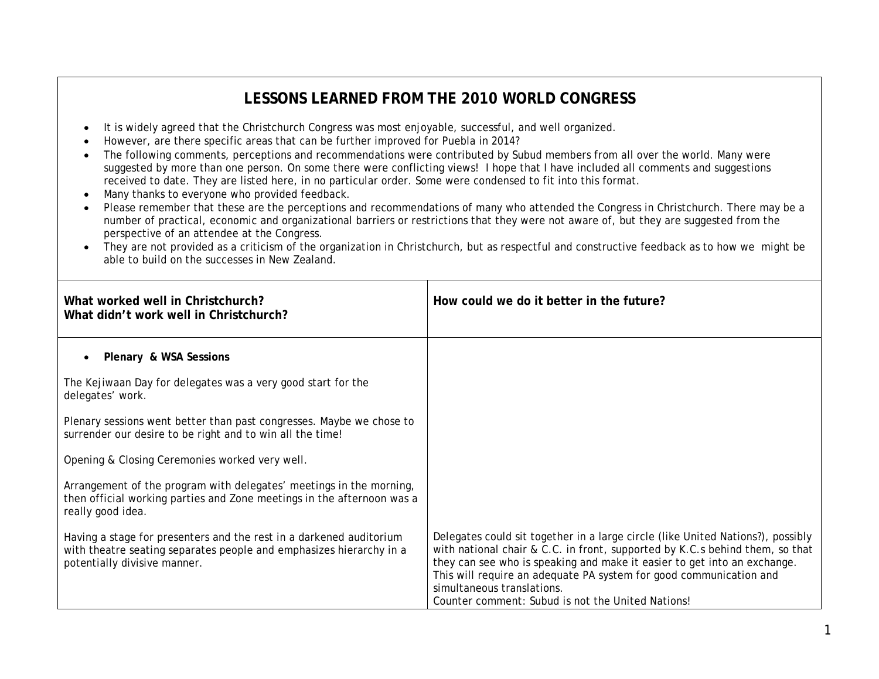## **LESSONS LEARNED FROM THE 2010 WORLD CONGRESS**

- It is widely agreed that the Christchurch Congress was most enjoyable, successful, and well organized.
- However, are there specific areas that can be further improved for Puebla in 2014?
- The following comments, perceptions and recommendations were contributed by Subud members from all over the world. Many were suggested by more than one person. On some there were conflicting views! I hope that I have included all comments and suggestions received to date. They are listed here, in no particular order. Some were condensed to fit into this format.
- Many thanks to everyone who provided feedback.
- Please remember that these are the perceptions and recommendations of many who attended the Congress in Christchurch. There may be a number of practical, economic and organizational barriers or restrictions that they were not aware of, but they are suggested from the perspective of an attendee at the Congress.
- They are not provided as a criticism of the organization in Christchurch, but as respectful and constructive feedback as to how we might be able to build on the successes in New Zealand.

| What worked well in Christchurch?<br>What didn't work well in Christchurch?                                                                                                | How could we do it better in the future?                                                                                                                                                                                                                                                                                                                                                             |
|----------------------------------------------------------------------------------------------------------------------------------------------------------------------------|------------------------------------------------------------------------------------------------------------------------------------------------------------------------------------------------------------------------------------------------------------------------------------------------------------------------------------------------------------------------------------------------------|
| Plenary & WSA Sessions                                                                                                                                                     |                                                                                                                                                                                                                                                                                                                                                                                                      |
| The Kejiwaan Day for delegates was a very good start for the<br>delegates' work.                                                                                           |                                                                                                                                                                                                                                                                                                                                                                                                      |
| Plenary sessions went better than past congresses. Maybe we chose to<br>surrender our desire to be right and to win all the time!                                          |                                                                                                                                                                                                                                                                                                                                                                                                      |
| Opening & Closing Ceremonies worked very well.                                                                                                                             |                                                                                                                                                                                                                                                                                                                                                                                                      |
| Arrangement of the program with delegates' meetings in the morning,<br>then official working parties and Zone meetings in the afternoon was a<br>really good idea.         |                                                                                                                                                                                                                                                                                                                                                                                                      |
| Having a stage for presenters and the rest in a darkened auditorium<br>with theatre seating separates people and emphasizes hierarchy in a<br>potentially divisive manner. | Delegates could sit together in a large circle (like United Nations?), possibly<br>with national chair & C.C. in front, supported by K.C.s behind them, so that<br>they can see who is speaking and make it easier to get into an exchange.<br>This will require an adequate PA system for good communication and<br>simultaneous translations.<br>Counter comment: Subud is not the United Nations! |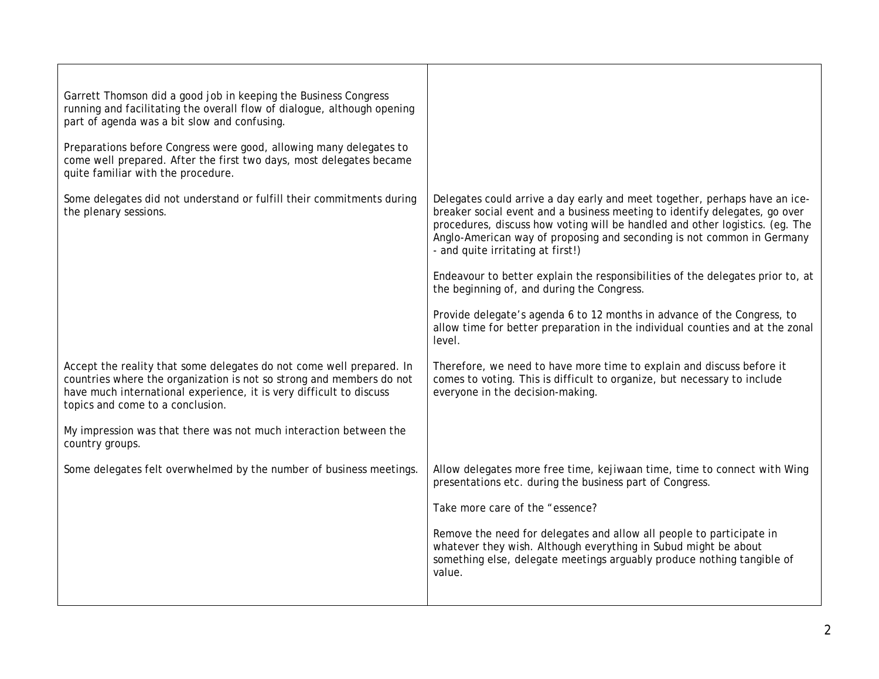| Garrett Thomson did a good job in keeping the Business Congress<br>running and facilitating the overall flow of dialogue, although opening<br>part of agenda was a bit slow and confusing.                                                              |                                                                                                                                                                                                                                                                                                                                                         |
|---------------------------------------------------------------------------------------------------------------------------------------------------------------------------------------------------------------------------------------------------------|---------------------------------------------------------------------------------------------------------------------------------------------------------------------------------------------------------------------------------------------------------------------------------------------------------------------------------------------------------|
| Preparations before Congress were good, allowing many delegates to<br>come well prepared. After the first two days, most delegates became<br>quite familiar with the procedure.                                                                         |                                                                                                                                                                                                                                                                                                                                                         |
| Some delegates did not understand or fulfill their commitments during<br>the plenary sessions.                                                                                                                                                          | Delegates could arrive a day early and meet together, perhaps have an ice-<br>breaker social event and a business meeting to identify delegates, go over<br>procedures, discuss how voting will be handled and other logistics. (eg. The<br>Anglo-American way of proposing and seconding is not common in Germany<br>- and quite irritating at first!) |
|                                                                                                                                                                                                                                                         | Endeavour to better explain the responsibilities of the delegates prior to, at<br>the beginning of, and during the Congress.                                                                                                                                                                                                                            |
|                                                                                                                                                                                                                                                         | Provide delegate's agenda 6 to 12 months in advance of the Congress, to<br>allow time for better preparation in the individual counties and at the zonal<br>level.                                                                                                                                                                                      |
| Accept the reality that some delegates do not come well prepared. In<br>countries where the organization is not so strong and members do not<br>have much international experience, it is very difficult to discuss<br>topics and come to a conclusion. | Therefore, we need to have more time to explain and discuss before it<br>comes to voting. This is difficult to organize, but necessary to include<br>everyone in the decision-making.                                                                                                                                                                   |
| My impression was that there was not much interaction between the<br>country groups.                                                                                                                                                                    |                                                                                                                                                                                                                                                                                                                                                         |
| Some delegates felt overwhelmed by the number of business meetings.                                                                                                                                                                                     | Allow delegates more free time, kejiwaan time, time to connect with Wing<br>presentations etc. during the business part of Congress.                                                                                                                                                                                                                    |
|                                                                                                                                                                                                                                                         | Take more care of the "essence?                                                                                                                                                                                                                                                                                                                         |
|                                                                                                                                                                                                                                                         | Remove the need for delegates and allow all people to participate in<br>whatever they wish. Although everything in Subud might be about<br>something else, delegate meetings arguably produce nothing tangible of<br>value.                                                                                                                             |
|                                                                                                                                                                                                                                                         |                                                                                                                                                                                                                                                                                                                                                         |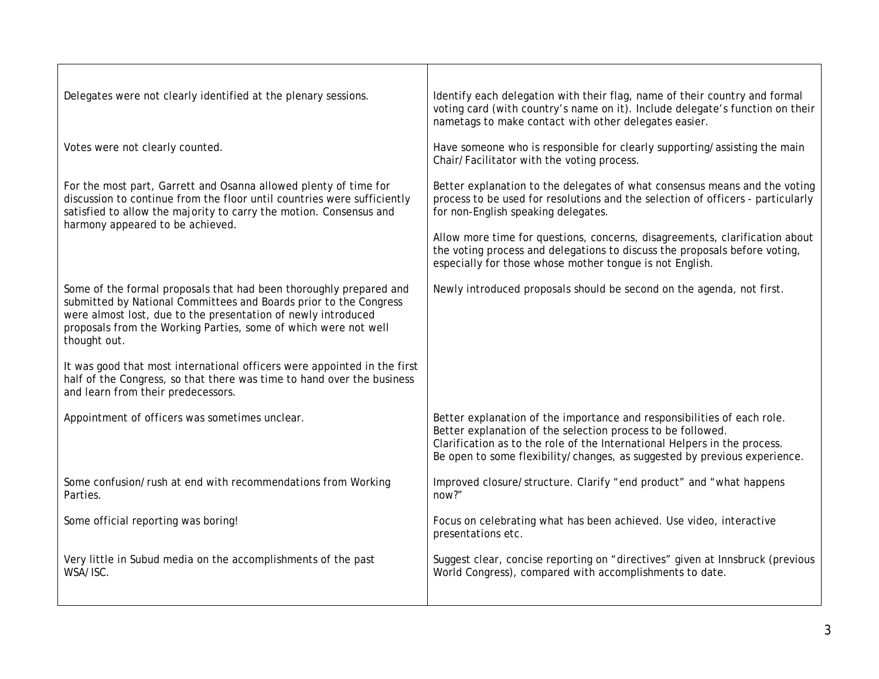| Delegates were not clearly identified at the plenary sessions.                                                                                                                                                                                                                              | Identify each delegation with their flag, name of their country and formal<br>voting card (with country's name on it). Include delegate's function on their<br>nametags to make contact with other delegates easier.                                                                             |
|---------------------------------------------------------------------------------------------------------------------------------------------------------------------------------------------------------------------------------------------------------------------------------------------|--------------------------------------------------------------------------------------------------------------------------------------------------------------------------------------------------------------------------------------------------------------------------------------------------|
| Votes were not clearly counted.                                                                                                                                                                                                                                                             | Have someone who is responsible for clearly supporting/assisting the main<br>Chair/Facilitator with the voting process.                                                                                                                                                                          |
| For the most part, Garrett and Osanna allowed plenty of time for<br>discussion to continue from the floor until countries were sufficiently<br>satisfied to allow the majority to carry the motion. Consensus and<br>harmony appeared to be achieved.                                       | Better explanation to the delegates of what consensus means and the voting<br>process to be used for resolutions and the selection of officers - particularly<br>for non-English speaking delegates.                                                                                             |
|                                                                                                                                                                                                                                                                                             | Allow more time for questions, concerns, disagreements, clarification about<br>the voting process and delegations to discuss the proposals before voting,<br>especially for those whose mother tongue is not English.                                                                            |
| Some of the formal proposals that had been thoroughly prepared and<br>submitted by National Committees and Boards prior to the Congress<br>were almost lost, due to the presentation of newly introduced<br>proposals from the Working Parties, some of which were not well<br>thought out. | Newly introduced proposals should be second on the agenda, not first.                                                                                                                                                                                                                            |
| It was good that most international officers were appointed in the first<br>half of the Congress, so that there was time to hand over the business<br>and learn from their predecessors.                                                                                                    |                                                                                                                                                                                                                                                                                                  |
| Appointment of officers was sometimes unclear.                                                                                                                                                                                                                                              | Better explanation of the importance and responsibilities of each role.<br>Better explanation of the selection process to be followed.<br>Clarification as to the role of the International Helpers in the process.<br>Be open to some flexibility/changes, as suggested by previous experience. |
| Some confusion/rush at end with recommendations from Working<br>Parties.                                                                                                                                                                                                                    | Improved closure/structure. Clarify "end product" and "what happens<br>now?"                                                                                                                                                                                                                     |
| Some official reporting was boring!                                                                                                                                                                                                                                                         | Focus on celebrating what has been achieved. Use video, interactive<br>presentations etc.                                                                                                                                                                                                        |
| Very little in Subud media on the accomplishments of the past<br>WSA/ISC.                                                                                                                                                                                                                   | Suggest clear, concise reporting on "directives" given at Innsbruck (previous<br>World Congress), compared with accomplishments to date.                                                                                                                                                         |
|                                                                                                                                                                                                                                                                                             |                                                                                                                                                                                                                                                                                                  |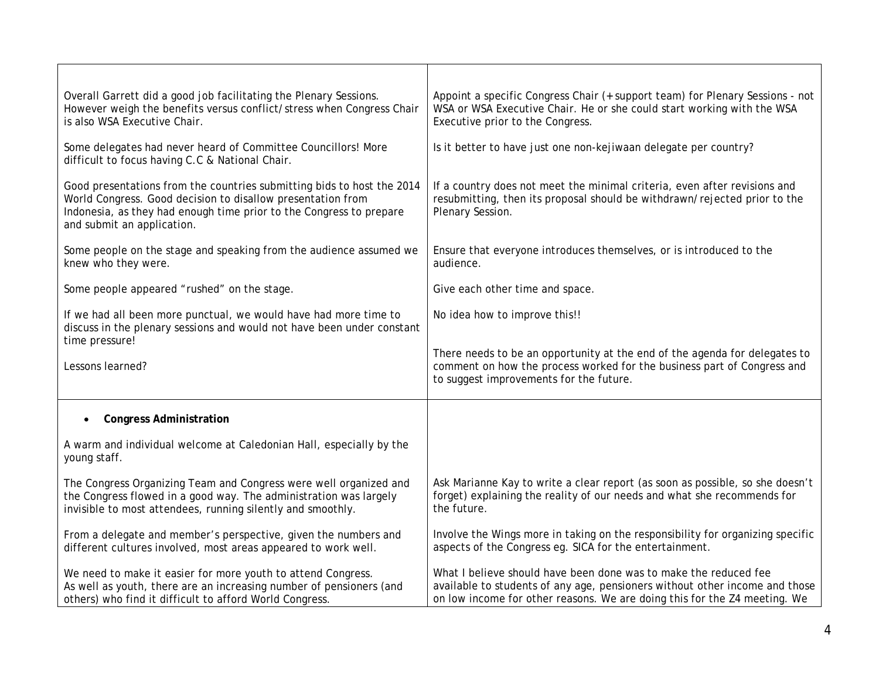| Overall Garrett did a good job facilitating the Plenary Sessions.<br>However weigh the benefits versus conflict/stress when Congress Chair<br>is also WSA Executive Chair.                                                                 | Appoint a specific Congress Chair (+ support team) for Plenary Sessions - not<br>WSA or WSA Executive Chair. He or she could start working with the WSA<br>Executive prior to the Congress.                                  |
|--------------------------------------------------------------------------------------------------------------------------------------------------------------------------------------------------------------------------------------------|------------------------------------------------------------------------------------------------------------------------------------------------------------------------------------------------------------------------------|
| Some delegates had never heard of Committee Councillors! More<br>difficult to focus having C.C & National Chair.                                                                                                                           | Is it better to have just one non-kejiwaan delegate per country?                                                                                                                                                             |
| Good presentations from the countries submitting bids to host the 2014<br>World Congress. Good decision to disallow presentation from<br>Indonesia, as they had enough time prior to the Congress to prepare<br>and submit an application. | If a country does not meet the minimal criteria, even after revisions and<br>resubmitting, then its proposal should be withdrawn/rejected prior to the<br>Plenary Session.                                                   |
| Some people on the stage and speaking from the audience assumed we<br>knew who they were.                                                                                                                                                  | Ensure that everyone introduces themselves, or is introduced to the<br>audience.                                                                                                                                             |
| Some people appeared "rushed" on the stage.                                                                                                                                                                                                | Give each other time and space.                                                                                                                                                                                              |
| If we had all been more punctual, we would have had more time to<br>discuss in the plenary sessions and would not have been under constant<br>time pressure!                                                                               | No idea how to improve this!!                                                                                                                                                                                                |
| Lessons learned?                                                                                                                                                                                                                           | There needs to be an opportunity at the end of the agenda for delegates to<br>comment on how the process worked for the business part of Congress and<br>to suggest improvements for the future.                             |
| <b>Congress Administration</b><br>$\bullet$                                                                                                                                                                                                |                                                                                                                                                                                                                              |
| A warm and individual welcome at Caledonian Hall, especially by the<br>young staff.                                                                                                                                                        |                                                                                                                                                                                                                              |
| The Congress Organizing Team and Congress were well organized and<br>the Congress flowed in a good way. The administration was largely<br>invisible to most attendees, running silently and smoothly.                                      | Ask Marianne Kay to write a clear report (as soon as possible, so she doesn't<br>forget) explaining the reality of our needs and what she recommends for<br>the future.                                                      |
| From a delegate and member's perspective, given the numbers and<br>different cultures involved, most areas appeared to work well.                                                                                                          | Involve the Wings more in taking on the responsibility for organizing specific<br>aspects of the Congress eg. SICA for the entertainment.                                                                                    |
| We need to make it easier for more youth to attend Congress.<br>As well as youth, there are an increasing number of pensioners (and<br>others) who find it difficult to afford World Congress.                                             | What I believe should have been done was to make the reduced fee<br>available to students of any age, pensioners without other income and those<br>on low income for other reasons. We are doing this for the Z4 meeting. We |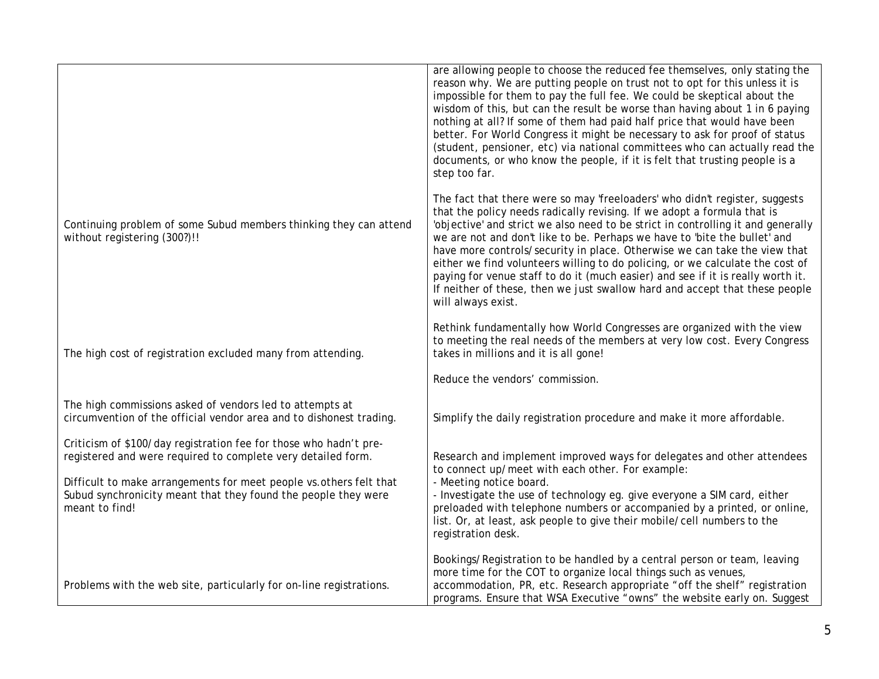|                                                                                                                                                                                                                                                                                              | are allowing people to choose the reduced fee themselves, only stating the<br>reason why. We are putting people on trust not to opt for this unless it is<br>impossible for them to pay the full fee. We could be skeptical about the<br>wisdom of this, but can the result be worse than having about 1 in 6 paying<br>nothing at all? If some of them had paid half price that would have been<br>better. For World Congress it might be necessary to ask for proof of status<br>(student, pensioner, etc) via national committees who can actually read the<br>documents, or who know the people, if it is felt that trusting people is a<br>step too far.                 |
|----------------------------------------------------------------------------------------------------------------------------------------------------------------------------------------------------------------------------------------------------------------------------------------------|-------------------------------------------------------------------------------------------------------------------------------------------------------------------------------------------------------------------------------------------------------------------------------------------------------------------------------------------------------------------------------------------------------------------------------------------------------------------------------------------------------------------------------------------------------------------------------------------------------------------------------------------------------------------------------|
| Continuing problem of some Subud members thinking they can attend<br>without registering (300?)!!                                                                                                                                                                                            | The fact that there were so may 'freeloaders' who didn't register, suggests<br>that the policy needs radically revising. If we adopt a formula that is<br>'objective' and strict we also need to be strict in controlling it and generally<br>we are not and don't like to be. Perhaps we have to 'bite the bullet' and<br>have more controls/security in place. Otherwise we can take the view that<br>either we find volunteers willing to do policing, or we calculate the cost of<br>paying for venue staff to do it (much easier) and see if it is really worth it.<br>If neither of these, then we just swallow hard and accept that these people<br>will always exist. |
| The high cost of registration excluded many from attending.                                                                                                                                                                                                                                  | Rethink fundamentally how World Congresses are organized with the view<br>to meeting the real needs of the members at very low cost. Every Congress<br>takes in millions and it is all gone!                                                                                                                                                                                                                                                                                                                                                                                                                                                                                  |
|                                                                                                                                                                                                                                                                                              | Reduce the vendors' commission.                                                                                                                                                                                                                                                                                                                                                                                                                                                                                                                                                                                                                                               |
| The high commissions asked of vendors led to attempts at<br>circumvention of the official vendor area and to dishonest trading.                                                                                                                                                              | Simplify the daily registration procedure and make it more affordable.                                                                                                                                                                                                                                                                                                                                                                                                                                                                                                                                                                                                        |
| Criticism of \$100/day registration fee for those who hadn't pre-<br>registered and were required to complete very detailed form.<br>Difficult to make arrangements for meet people vs. others felt that<br>Subud synchronicity meant that they found the people they were<br>meant to find! | Research and implement improved ways for delegates and other attendees<br>to connect up/meet with each other. For example:<br>- Meeting notice board.<br>- Investigate the use of technology eg. give everyone a SIM card, either<br>preloaded with telephone numbers or accompanied by a printed, or online,<br>list. Or, at least, ask people to give their mobile/cell numbers to the<br>registration desk.                                                                                                                                                                                                                                                                |
| Problems with the web site, particularly for on-line registrations.                                                                                                                                                                                                                          | Bookings/Registration to be handled by a central person or team, leaving<br>more time for the COT to organize local things such as venues,<br>accommodation, PR, etc. Research appropriate "off the shelf" registration<br>programs. Ensure that WSA Executive "owns" the website early on. Suggest                                                                                                                                                                                                                                                                                                                                                                           |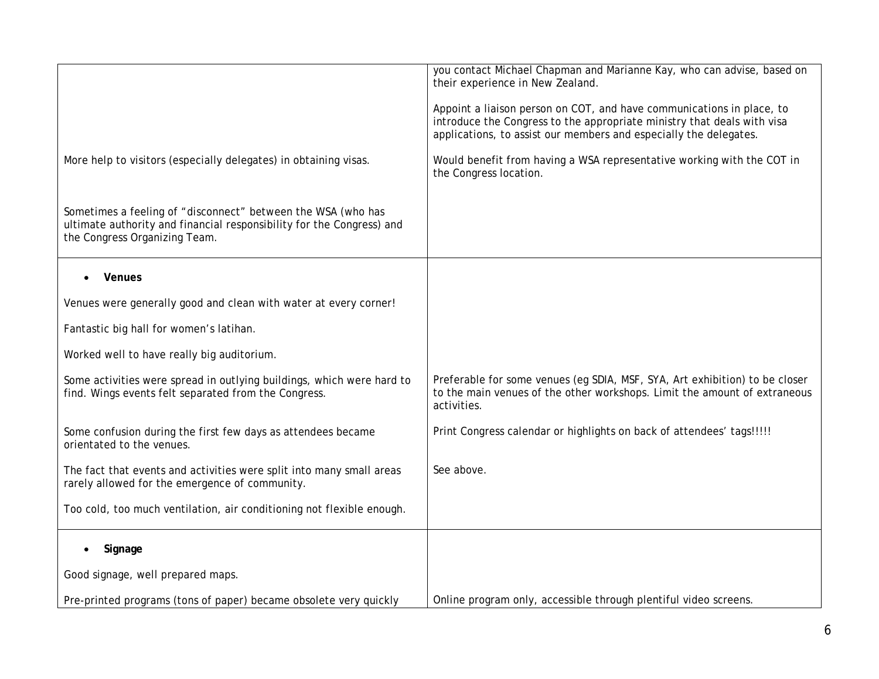|                                                                                                                                                                        | you contact Michael Chapman and Marianne Kay, who can advise, based on<br>their experience in New Zealand.<br>Appoint a liaison person on COT, and have communications in place, to<br>introduce the Congress to the appropriate ministry that deals with visa |
|------------------------------------------------------------------------------------------------------------------------------------------------------------------------|----------------------------------------------------------------------------------------------------------------------------------------------------------------------------------------------------------------------------------------------------------------|
| More help to visitors (especially delegates) in obtaining visas.                                                                                                       | applications, to assist our members and especially the delegates.<br>Would benefit from having a WSA representative working with the COT in<br>the Congress location.                                                                                          |
| Sometimes a feeling of "disconnect" between the WSA (who has<br>ultimate authority and financial responsibility for the Congress) and<br>the Congress Organizing Team. |                                                                                                                                                                                                                                                                |
| Venues                                                                                                                                                                 |                                                                                                                                                                                                                                                                |
| Venues were generally good and clean with water at every corner!                                                                                                       |                                                                                                                                                                                                                                                                |
| Fantastic big hall for women's latihan.                                                                                                                                |                                                                                                                                                                                                                                                                |
| Worked well to have really big auditorium.                                                                                                                             |                                                                                                                                                                                                                                                                |
| Some activities were spread in outlying buildings, which were hard to<br>find. Wings events felt separated from the Congress.                                          | Preferable for some venues (eg SDIA, MSF, SYA, Art exhibition) to be closer<br>to the main venues of the other workshops. Limit the amount of extraneous<br>activities.                                                                                        |
| Some confusion during the first few days as attendees became<br>orientated to the venues.                                                                              | Print Congress calendar or highlights on back of attendees' tags!!!!!                                                                                                                                                                                          |
| The fact that events and activities were split into many small areas<br>rarely allowed for the emergence of community.                                                 | See above.                                                                                                                                                                                                                                                     |
| Too cold, too much ventilation, air conditioning not flexible enough.                                                                                                  |                                                                                                                                                                                                                                                                |
| Signage<br>$\bullet$                                                                                                                                                   |                                                                                                                                                                                                                                                                |
| Good signage, well prepared maps.                                                                                                                                      |                                                                                                                                                                                                                                                                |
| Pre-printed programs (tons of paper) became obsolete very quickly                                                                                                      | Online program only, accessible through plentiful video screens.                                                                                                                                                                                               |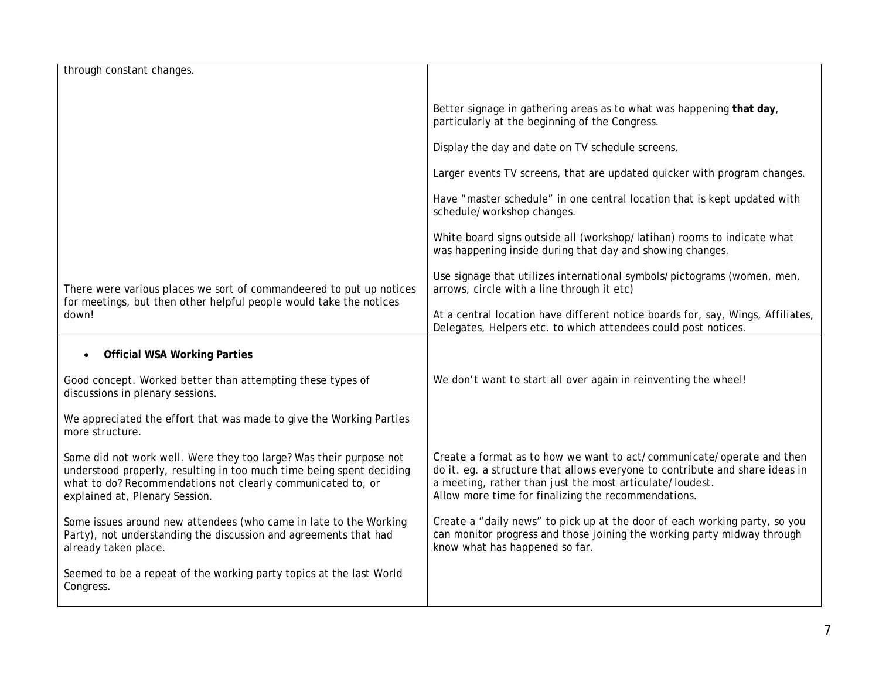| through constant changes.                                                                                                                                                                                                                   |                                                                                                                                                                                                                                                                          |
|---------------------------------------------------------------------------------------------------------------------------------------------------------------------------------------------------------------------------------------------|--------------------------------------------------------------------------------------------------------------------------------------------------------------------------------------------------------------------------------------------------------------------------|
|                                                                                                                                                                                                                                             | Better signage in gathering areas as to what was happening that day,<br>particularly at the beginning of the Congress.                                                                                                                                                   |
|                                                                                                                                                                                                                                             | Display the day and date on TV schedule screens.                                                                                                                                                                                                                         |
|                                                                                                                                                                                                                                             | Larger events TV screens, that are updated quicker with program changes.                                                                                                                                                                                                 |
|                                                                                                                                                                                                                                             | Have "master schedule" in one central location that is kept updated with<br>schedule/workshop changes.                                                                                                                                                                   |
|                                                                                                                                                                                                                                             | White board signs outside all (workshop/latihan) rooms to indicate what<br>was happening inside during that day and showing changes.                                                                                                                                     |
| There were various places we sort of commandeered to put up notices<br>for meetings, but then other helpful people would take the notices<br>down!                                                                                          | Use signage that utilizes international symbols/pictograms (women, men,<br>arrows, circle with a line through it etc)                                                                                                                                                    |
|                                                                                                                                                                                                                                             | At a central location have different notice boards for, say, Wings, Affiliates,<br>Delegates, Helpers etc. to which attendees could post notices.                                                                                                                        |
| <b>Official WSA Working Parties</b>                                                                                                                                                                                                         |                                                                                                                                                                                                                                                                          |
| Good concept. Worked better than attempting these types of<br>discussions in plenary sessions.                                                                                                                                              | We don't want to start all over again in reinventing the wheel!                                                                                                                                                                                                          |
| We appreciated the effort that was made to give the Working Parties<br>more structure.                                                                                                                                                      |                                                                                                                                                                                                                                                                          |
| Some did not work well. Were they too large? Was their purpose not<br>understood properly, resulting in too much time being spent deciding<br>what to do? Recommendations not clearly communicated to, or<br>explained at, Plenary Session. | Create a format as to how we want to act/communicate/operate and then<br>do it. eg. a structure that allows everyone to contribute and share ideas in<br>a meeting, rather than just the most articulate/loudest.<br>Allow more time for finalizing the recommendations. |
| Some issues around new attendees (who came in late to the Working<br>Party), not understanding the discussion and agreements that had<br>already taken place.                                                                               | Create a "daily news" to pick up at the door of each working party, so you<br>can monitor progress and those joining the working party midway through<br>know what has happened so far.                                                                                  |
| Seemed to be a repeat of the working party topics at the last World<br>Congress.                                                                                                                                                            |                                                                                                                                                                                                                                                                          |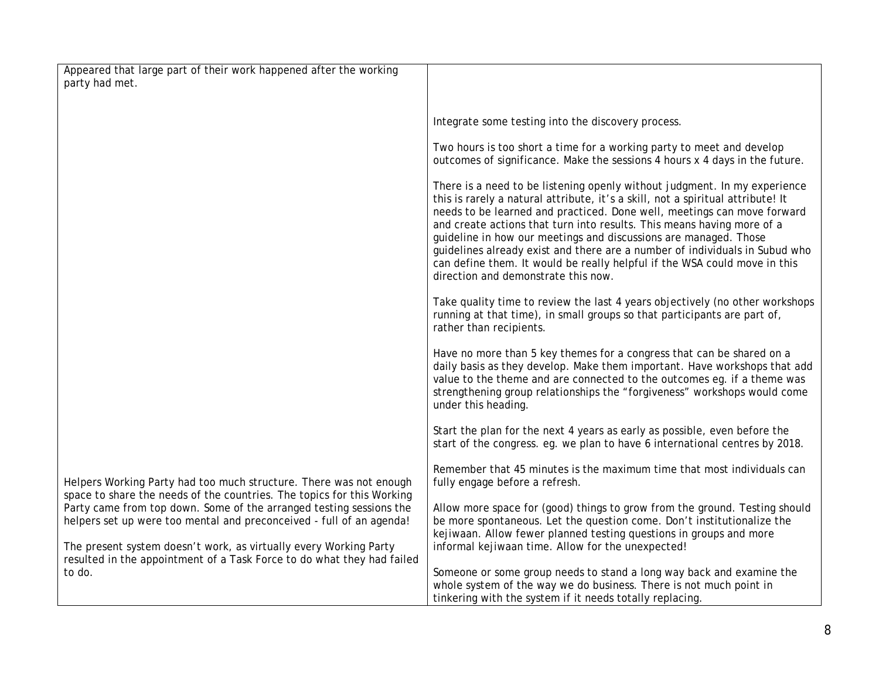| Appeared that large part of their work happened after the working<br>party had met.                                                                                                                              |                                                                                                                                                                                                                                                                                                                                                                                                                                                                                                                                                                                          |
|------------------------------------------------------------------------------------------------------------------------------------------------------------------------------------------------------------------|------------------------------------------------------------------------------------------------------------------------------------------------------------------------------------------------------------------------------------------------------------------------------------------------------------------------------------------------------------------------------------------------------------------------------------------------------------------------------------------------------------------------------------------------------------------------------------------|
|                                                                                                                                                                                                                  |                                                                                                                                                                                                                                                                                                                                                                                                                                                                                                                                                                                          |
|                                                                                                                                                                                                                  | Integrate some testing into the discovery process.                                                                                                                                                                                                                                                                                                                                                                                                                                                                                                                                       |
|                                                                                                                                                                                                                  | Two hours is too short a time for a working party to meet and develop<br>outcomes of significance. Make the sessions 4 hours x 4 days in the future.                                                                                                                                                                                                                                                                                                                                                                                                                                     |
|                                                                                                                                                                                                                  | There is a need to be listening openly without judgment. In my experience<br>this is rarely a natural attribute, it's a skill, not a spiritual attribute! It<br>needs to be learned and practiced. Done well, meetings can move forward<br>and create actions that turn into results. This means having more of a<br>guideline in how our meetings and discussions are managed. Those<br>guidelines already exist and there are a number of individuals in Subud who<br>can define them. It would be really helpful if the WSA could move in this<br>direction and demonstrate this now. |
|                                                                                                                                                                                                                  | Take quality time to review the last 4 years objectively (no other workshops<br>running at that time), in small groups so that participants are part of,<br>rather than recipients.                                                                                                                                                                                                                                                                                                                                                                                                      |
|                                                                                                                                                                                                                  | Have no more than 5 key themes for a congress that can be shared on a<br>daily basis as they develop. Make them important. Have workshops that add<br>value to the theme and are connected to the outcomes eg. if a theme was<br>strengthening group relationships the "forgiveness" workshops would come<br>under this heading.                                                                                                                                                                                                                                                         |
|                                                                                                                                                                                                                  | Start the plan for the next 4 years as early as possible, even before the<br>start of the congress. eg. we plan to have 6 international centres by 2018.                                                                                                                                                                                                                                                                                                                                                                                                                                 |
| Helpers Working Party had too much structure. There was not enough<br>space to share the needs of the countries. The topics for this Working                                                                     | Remember that 45 minutes is the maximum time that most individuals can<br>fully engage before a refresh.                                                                                                                                                                                                                                                                                                                                                                                                                                                                                 |
| Party came from top down. Some of the arranged testing sessions the<br>helpers set up were too mental and preconceived - full of an agenda!<br>The present system doesn't work, as virtually every Working Party | Allow more space for (good) things to grow from the ground. Testing should<br>be more spontaneous. Let the question come. Don't institutionalize the<br>kejiwaan. Allow fewer planned testing questions in groups and more<br>informal kejiwaan time. Allow for the unexpected!                                                                                                                                                                                                                                                                                                          |
| resulted in the appointment of a Task Force to do what they had failed<br>to do.                                                                                                                                 | Someone or some group needs to stand a long way back and examine the<br>whole system of the way we do business. There is not much point in<br>tinkering with the system if it needs totally replacing.                                                                                                                                                                                                                                                                                                                                                                                   |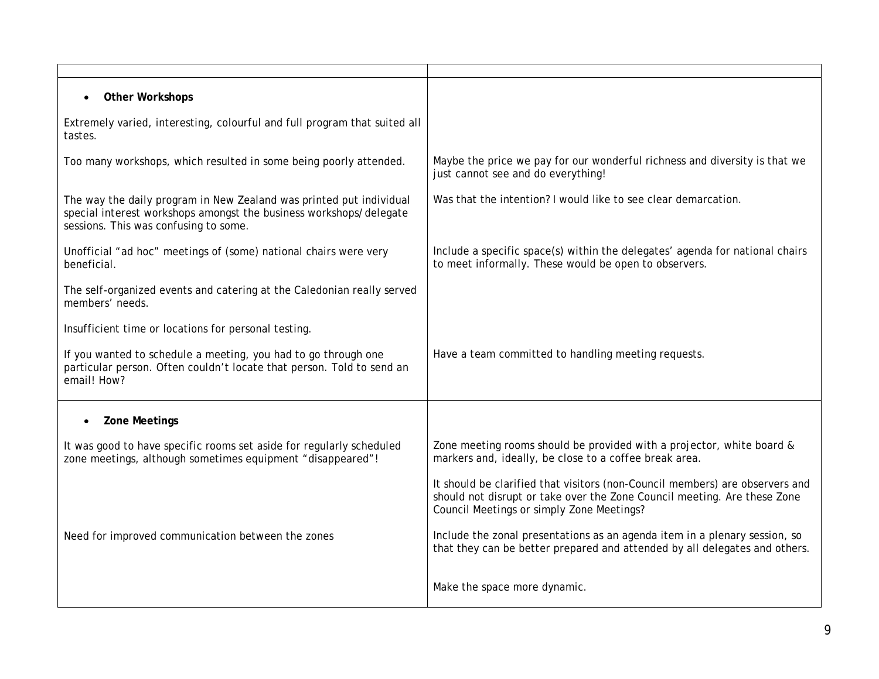| <b>Other Workshops</b><br>$\bullet$                                                                                                                                                |                                                                                                                                                                                                       |
|------------------------------------------------------------------------------------------------------------------------------------------------------------------------------------|-------------------------------------------------------------------------------------------------------------------------------------------------------------------------------------------------------|
| Extremely varied, interesting, colourful and full program that suited all<br>tastes.                                                                                               |                                                                                                                                                                                                       |
| Too many workshops, which resulted in some being poorly attended.                                                                                                                  | Maybe the price we pay for our wonderful richness and diversity is that we<br>just cannot see and do everything!                                                                                      |
| The way the daily program in New Zealand was printed put individual<br>special interest workshops amongst the business workshops/delegate<br>sessions. This was confusing to some. | Was that the intention? I would like to see clear demarcation.                                                                                                                                        |
| Unofficial "ad hoc" meetings of (some) national chairs were very<br>beneficial.                                                                                                    | Include a specific space(s) within the delegates' agenda for national chairs<br>to meet informally. These would be open to observers.                                                                 |
| The self-organized events and catering at the Caledonian really served<br>members' needs.                                                                                          |                                                                                                                                                                                                       |
| Insufficient time or locations for personal testing.                                                                                                                               |                                                                                                                                                                                                       |
| If you wanted to schedule a meeting, you had to go through one<br>particular person. Often couldn't locate that person. Told to send an<br>email! How?                             | Have a team committed to handling meeting requests.                                                                                                                                                   |
| <b>Zone Meetings</b><br>$\bullet$                                                                                                                                                  |                                                                                                                                                                                                       |
| It was good to have specific rooms set aside for regularly scheduled<br>zone meetings, although sometimes equipment "disappeared"!                                                 | Zone meeting rooms should be provided with a projector, white board &<br>markers and, ideally, be close to a coffee break area.                                                                       |
|                                                                                                                                                                                    | It should be clarified that visitors (non-Council members) are observers and<br>should not disrupt or take over the Zone Council meeting. Are these Zone<br>Council Meetings or simply Zone Meetings? |
| Need for improved communication between the zones                                                                                                                                  | Include the zonal presentations as an agenda item in a plenary session, so<br>that they can be better prepared and attended by all delegates and others.                                              |
|                                                                                                                                                                                    | Make the space more dynamic.                                                                                                                                                                          |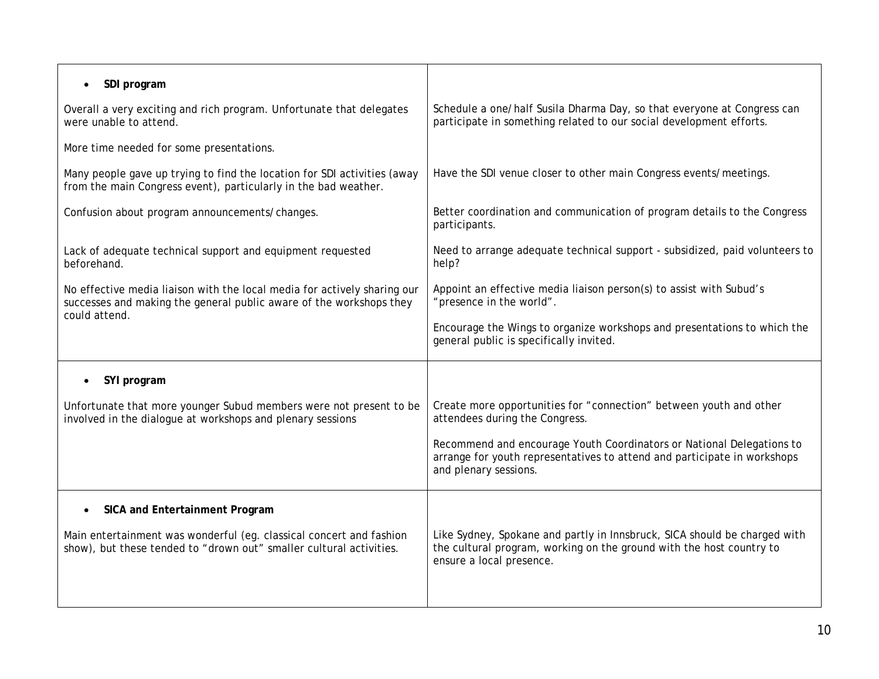| SDI program                                                                                                                                                      |                                                                                                                                                                               |
|------------------------------------------------------------------------------------------------------------------------------------------------------------------|-------------------------------------------------------------------------------------------------------------------------------------------------------------------------------|
| Overall a very exciting and rich program. Unfortunate that delegates<br>were unable to attend.                                                                   | Schedule a one/half Susila Dharma Day, so that everyone at Congress can<br>participate in something related to our social development efforts.                                |
| More time needed for some presentations.                                                                                                                         |                                                                                                                                                                               |
| Many people gave up trying to find the location for SDI activities (away<br>from the main Congress event), particularly in the bad weather.                      | Have the SDI venue closer to other main Congress events/meetings.                                                                                                             |
| Confusion about program announcements/changes.                                                                                                                   | Better coordination and communication of program details to the Congress<br>participants.                                                                                     |
| Lack of adequate technical support and equipment requested<br>beforehand.                                                                                        | Need to arrange adequate technical support - subsidized, paid volunteers to<br>help?                                                                                          |
| No effective media liaison with the local media for actively sharing our<br>successes and making the general public aware of the workshops they<br>could attend. | Appoint an effective media liaison person(s) to assist with Subud's<br>"presence in the world".                                                                               |
|                                                                                                                                                                  | Encourage the Wings to organize workshops and presentations to which the<br>general public is specifically invited.                                                           |
| SYI program                                                                                                                                                      |                                                                                                                                                                               |
| Unfortunate that more younger Subud members were not present to be<br>involved in the dialogue at workshops and plenary sessions                                 | Create more opportunities for "connection" between youth and other<br>attendees during the Congress.                                                                          |
|                                                                                                                                                                  | Recommend and encourage Youth Coordinators or National Delegations to<br>arrange for youth representatives to attend and participate in workshops<br>and plenary sessions.    |
| SICA and Entertainment Program                                                                                                                                   |                                                                                                                                                                               |
| Main entertainment was wonderful (eg. classical concert and fashion<br>show), but these tended to "drown out" smaller cultural activities.                       | Like Sydney, Spokane and partly in Innsbruck, SICA should be charged with<br>the cultural program, working on the ground with the host country to<br>ensure a local presence. |
|                                                                                                                                                                  |                                                                                                                                                                               |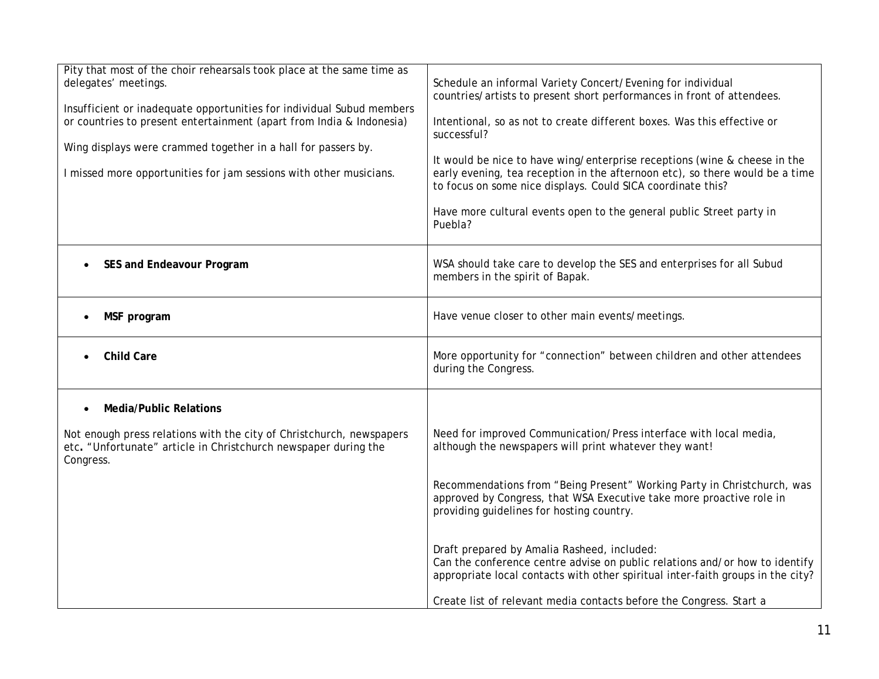| Pity that most of the choir rehearsals took place at the same time as<br>delegates' meetings.<br>Insufficient or inadequate opportunities for individual Subud members<br>or countries to present entertainment (apart from India & Indonesia)<br>Wing displays were crammed together in a hall for passers by.<br>I missed more opportunities for jam sessions with other musicians. | Schedule an informal Variety Concert/Evening for individual<br>countries/artists to present short performances in front of attendees.<br>Intentional, so as not to create different boxes. Was this effective or<br>successful?<br>It would be nice to have wing/enterprise receptions (wine & cheese in the<br>early evening, tea reception in the afternoon etc), so there would be a time<br>to focus on some nice displays. Could SICA coordinate this?<br>Have more cultural events open to the general public Street party in<br>Puebla? |
|---------------------------------------------------------------------------------------------------------------------------------------------------------------------------------------------------------------------------------------------------------------------------------------------------------------------------------------------------------------------------------------|------------------------------------------------------------------------------------------------------------------------------------------------------------------------------------------------------------------------------------------------------------------------------------------------------------------------------------------------------------------------------------------------------------------------------------------------------------------------------------------------------------------------------------------------|
| SES and Endeavour Program                                                                                                                                                                                                                                                                                                                                                             | WSA should take care to develop the SES and enterprises for all Subud<br>members in the spirit of Bapak.                                                                                                                                                                                                                                                                                                                                                                                                                                       |
| MSF program<br>$\bullet$                                                                                                                                                                                                                                                                                                                                                              | Have venue closer to other main events/meetings.                                                                                                                                                                                                                                                                                                                                                                                                                                                                                               |
| <b>Child Care</b>                                                                                                                                                                                                                                                                                                                                                                     | More opportunity for "connection" between children and other attendees<br>during the Congress.                                                                                                                                                                                                                                                                                                                                                                                                                                                 |
| <b>Media/Public Relations</b><br>$\bullet$                                                                                                                                                                                                                                                                                                                                            |                                                                                                                                                                                                                                                                                                                                                                                                                                                                                                                                                |
| Not enough press relations with the city of Christchurch, newspapers<br>etc. "Unfortunate" article in Christchurch newspaper during the<br>Congress.                                                                                                                                                                                                                                  | Need for improved Communication/Press interface with local media,<br>although the newspapers will print whatever they want!                                                                                                                                                                                                                                                                                                                                                                                                                    |
|                                                                                                                                                                                                                                                                                                                                                                                       | Recommendations from "Being Present" Working Party in Christchurch, was<br>approved by Congress, that WSA Executive take more proactive role in<br>providing guidelines for hosting country.                                                                                                                                                                                                                                                                                                                                                   |
|                                                                                                                                                                                                                                                                                                                                                                                       | Draft prepared by Amalia Rasheed, included:<br>Can the conference centre advise on public relations and/or how to identify<br>appropriate local contacts with other spiritual inter-faith groups in the city?                                                                                                                                                                                                                                                                                                                                  |
|                                                                                                                                                                                                                                                                                                                                                                                       | Create list of relevant media contacts before the Congress. Start a                                                                                                                                                                                                                                                                                                                                                                                                                                                                            |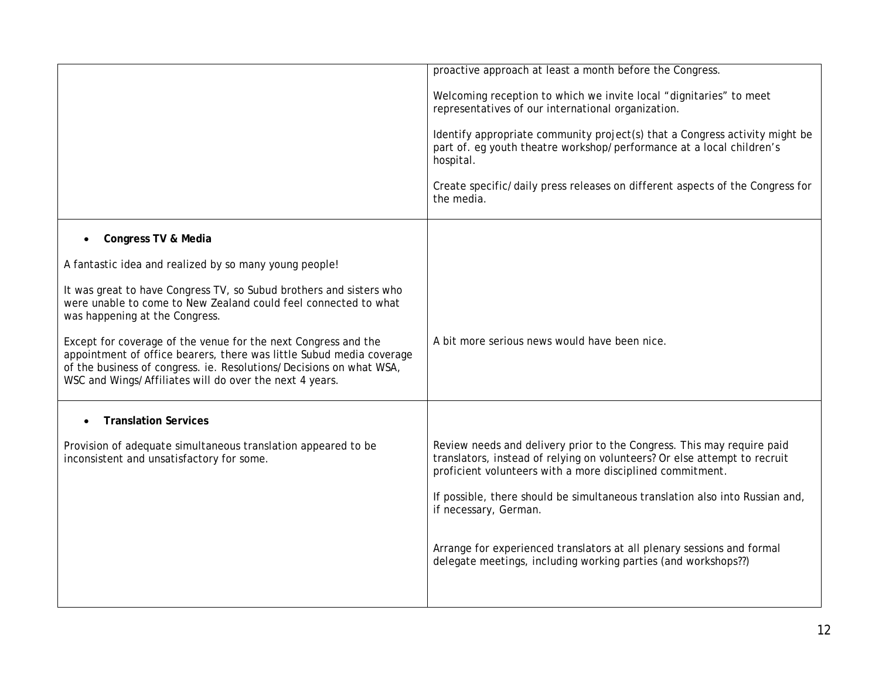|                                                                                                                                                                                                                                                                          | proactive approach at least a month before the Congress.<br>Welcoming reception to which we invite local "dignitaries" to meet<br>representatives of our international organization.<br>Identify appropriate community project(s) that a Congress activity might be<br>part of. eg youth theatre workshop/performance at a local children's<br>hospital.<br>Create specific/daily press releases on different aspects of the Congress for<br>the media. |
|--------------------------------------------------------------------------------------------------------------------------------------------------------------------------------------------------------------------------------------------------------------------------|---------------------------------------------------------------------------------------------------------------------------------------------------------------------------------------------------------------------------------------------------------------------------------------------------------------------------------------------------------------------------------------------------------------------------------------------------------|
| Congress TV & Media                                                                                                                                                                                                                                                      |                                                                                                                                                                                                                                                                                                                                                                                                                                                         |
| A fantastic idea and realized by so many young people!                                                                                                                                                                                                                   |                                                                                                                                                                                                                                                                                                                                                                                                                                                         |
| It was great to have Congress TV, so Subud brothers and sisters who<br>were unable to come to New Zealand could feel connected to what<br>was happening at the Congress.                                                                                                 |                                                                                                                                                                                                                                                                                                                                                                                                                                                         |
| Except for coverage of the venue for the next Congress and the<br>appointment of office bearers, there was little Subud media coverage<br>of the business of congress. ie. Resolutions/Decisions on what WSA,<br>WSC and Wings/Affiliates will do over the next 4 years. | A bit more serious news would have been nice.                                                                                                                                                                                                                                                                                                                                                                                                           |
| <b>Translation Services</b>                                                                                                                                                                                                                                              |                                                                                                                                                                                                                                                                                                                                                                                                                                                         |
| Provision of adequate simultaneous translation appeared to be<br>inconsistent and unsatisfactory for some.                                                                                                                                                               | Review needs and delivery prior to the Congress. This may require paid<br>translators, instead of relying on volunteers? Or else attempt to recruit<br>proficient volunteers with a more disciplined commitment.                                                                                                                                                                                                                                        |
|                                                                                                                                                                                                                                                                          | If possible, there should be simultaneous translation also into Russian and,<br>if necessary, German.                                                                                                                                                                                                                                                                                                                                                   |
|                                                                                                                                                                                                                                                                          | Arrange for experienced translators at all plenary sessions and formal<br>delegate meetings, including working parties (and workshops??)                                                                                                                                                                                                                                                                                                                |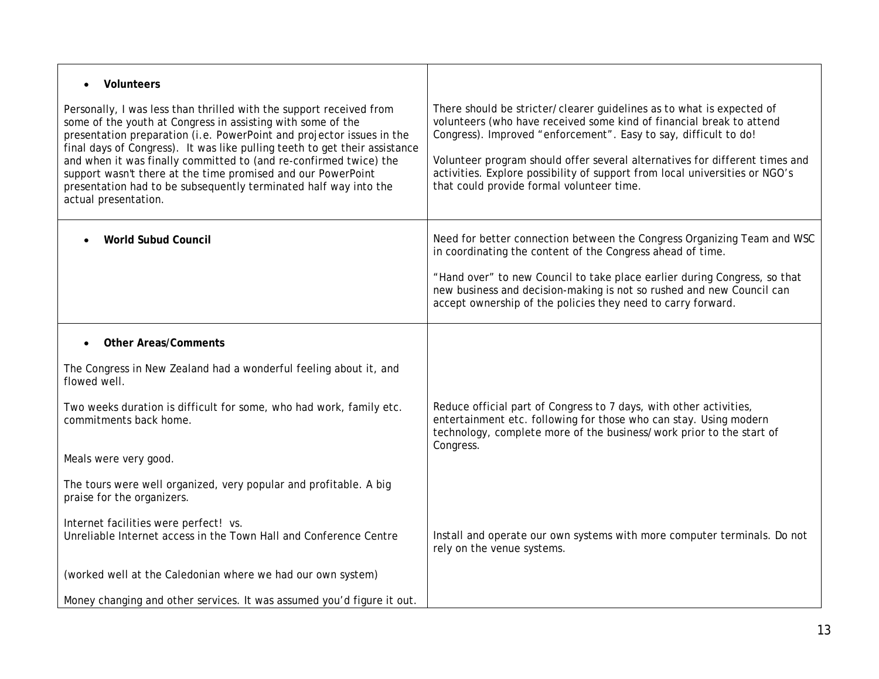| Volunteers                                                                                                                                                                                                                                                                                                                                                                                                                                                                                                                 |                                                                                                                                                                                                                                                                                                                                                                                                                              |
|----------------------------------------------------------------------------------------------------------------------------------------------------------------------------------------------------------------------------------------------------------------------------------------------------------------------------------------------------------------------------------------------------------------------------------------------------------------------------------------------------------------------------|------------------------------------------------------------------------------------------------------------------------------------------------------------------------------------------------------------------------------------------------------------------------------------------------------------------------------------------------------------------------------------------------------------------------------|
| Personally, I was less than thrilled with the support received from<br>some of the youth at Congress in assisting with some of the<br>presentation preparation (i.e. PowerPoint and projector issues in the<br>final days of Congress). It was like pulling teeth to get their assistance<br>and when it was finally committed to (and re-confirmed twice) the<br>support wasn't there at the time promised and our PowerPoint<br>presentation had to be subsequently terminated half way into the<br>actual presentation. | There should be stricter/clearer guidelines as to what is expected of<br>volunteers (who have received some kind of financial break to attend<br>Congress). Improved "enforcement". Easy to say, difficult to do!<br>Volunteer program should offer several alternatives for different times and<br>activities. Explore possibility of support from local universities or NGO's<br>that could provide formal volunteer time. |
| <b>World Subud Council</b>                                                                                                                                                                                                                                                                                                                                                                                                                                                                                                 | Need for better connection between the Congress Organizing Team and WSC<br>in coordinating the content of the Congress ahead of time.                                                                                                                                                                                                                                                                                        |
|                                                                                                                                                                                                                                                                                                                                                                                                                                                                                                                            | "Hand over" to new Council to take place earlier during Congress, so that<br>new business and decision-making is not so rushed and new Council can<br>accept ownership of the policies they need to carry forward.                                                                                                                                                                                                           |
| <b>Other Areas/Comments</b>                                                                                                                                                                                                                                                                                                                                                                                                                                                                                                |                                                                                                                                                                                                                                                                                                                                                                                                                              |
| The Congress in New Zealand had a wonderful feeling about it, and<br>flowed well.                                                                                                                                                                                                                                                                                                                                                                                                                                          |                                                                                                                                                                                                                                                                                                                                                                                                                              |
| Two weeks duration is difficult for some, who had work, family etc.<br>commitments back home.                                                                                                                                                                                                                                                                                                                                                                                                                              | Reduce official part of Congress to 7 days, with other activities,<br>entertainment etc. following for those who can stay. Using modern<br>technology, complete more of the business/work prior to the start of<br>Congress.                                                                                                                                                                                                 |
| Meals were very good.                                                                                                                                                                                                                                                                                                                                                                                                                                                                                                      |                                                                                                                                                                                                                                                                                                                                                                                                                              |
| The tours were well organized, very popular and profitable. A big<br>praise for the organizers.                                                                                                                                                                                                                                                                                                                                                                                                                            |                                                                                                                                                                                                                                                                                                                                                                                                                              |
| Internet facilities were perfect! vs.<br>Unreliable Internet access in the Town Hall and Conference Centre                                                                                                                                                                                                                                                                                                                                                                                                                 | Install and operate our own systems with more computer terminals. Do not<br>rely on the venue systems.                                                                                                                                                                                                                                                                                                                       |
| (worked well at the Caledonian where we had our own system)                                                                                                                                                                                                                                                                                                                                                                                                                                                                |                                                                                                                                                                                                                                                                                                                                                                                                                              |
| Money changing and other services. It was assumed you'd figure it out.                                                                                                                                                                                                                                                                                                                                                                                                                                                     |                                                                                                                                                                                                                                                                                                                                                                                                                              |